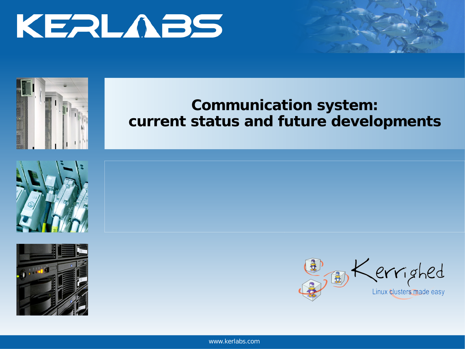



### **Communication system: current status and future developments**







www.kerlabs.com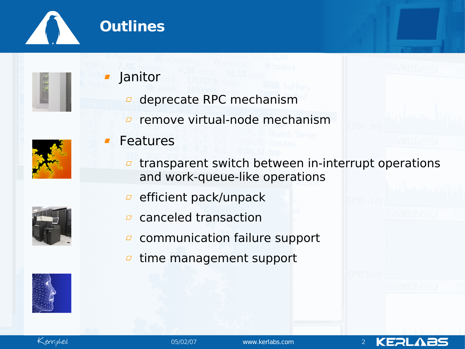



### Janitor

- deprecate RPC mechanism  $\varpi$
- remove virtual-node mechanism  $\varpi$



- Features
	- transparent switch between in-interrupt operations  $\varpi$ and work-queue-like operations
	- efficient pack/unpack  $\varpi$
	- canceled transaction  $\Box$
	- communication failure support  $\Box$
	- time management support $\Box$





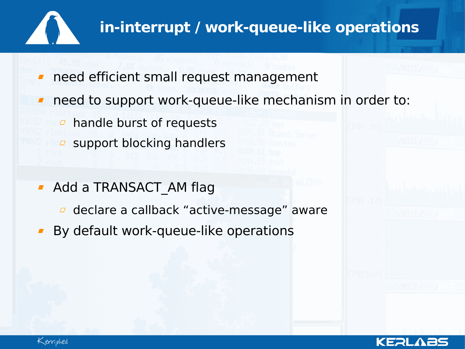

# **in-interrupt / work-queue-like operations**

KERL

- need efficient small request management
- need to support work-queue-like mechanism in order to:
	- $\overline{p}$  handle burst of requests
	- support blocking handlers
- **Add a TRANSACT AM flag** 
	- **d** declare a callback "active-message" aware
- By default work-queue-like operations

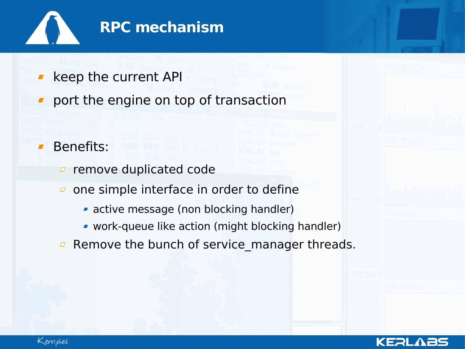

- keep the current API
- port the engine on top of transaction

#### Benefits:

- remove duplicated code  $\varOmega$
- one simple interface in order to define  $\varpi$ 
	- active message (non blocking handler)
	- work-queue like action (might blocking handler)
- Remove the bunch of service\_manager threads. $\Box$



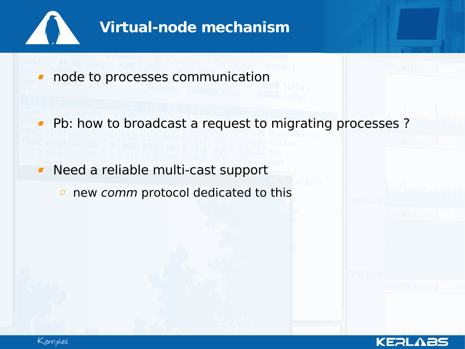

# **Virtual-node mechanism**

node to processes communication  $\overline{\phantom{a}}$ 

**Phence 1 Fig. 2** Pb: how to broadcast a request to migrating processes ?

**Need a reliable multi-cast support** 

 $\Box$  new comm protocol dedicated to this



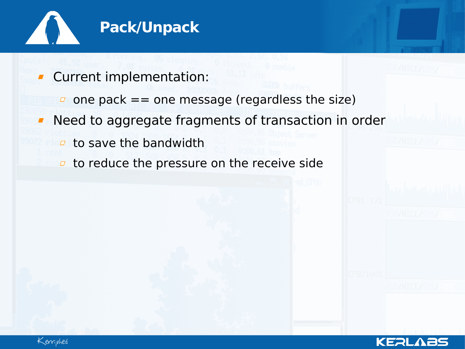

- Current implementation:
	- $\Box$  one pack == one message (regardless the size)
- Need to aggregate fragments of transaction in order  $\blacksquare$

KERL

- $\overline{a}$  to save the bandwidth
- to reduce the pressure on the receive side $\Box$

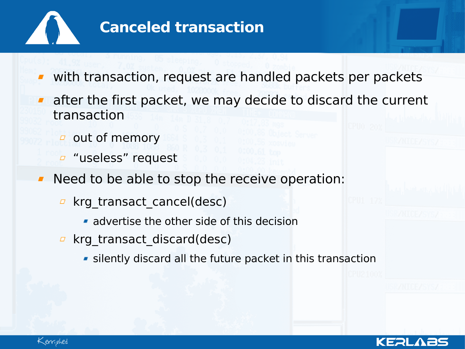

### **Canceled transaction**

- with transaction, request are handled packets per packets
- after the first packet, we may decide to discard the current transaction
	- $\sigma$  out of memory
	- *<u></u>* "useless" request
- Need to be able to stop the receive operation:
	- **E** krg transact cancel(desc)
		- **advertise the other side of this decision**
	- **E** krg transact discard(desc)
		- **silently discard all the future packet in this transaction**



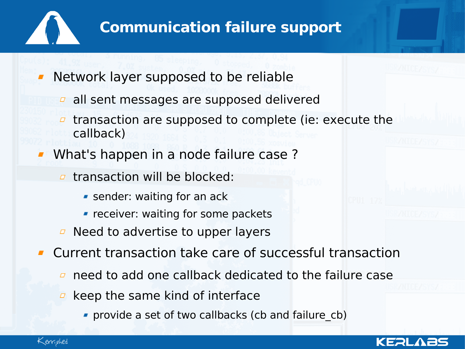

## **Communication failure support**

- Network layer supposed to be reliable
	- **a** all sent messages are supposed delivered
	- transaction are supposed to complete (ie: execute the  $\varpi$ callback)
- What's happen in a node failure case ?
	- $\sigma$  transaction will be blocked:
		- **SHEADER:** waiting for an ack
		- **Fig. 2** receiver: waiting for some packets
	- $\overline{a}$  Need to advertise to upper layers
- Current transaction take care of successful transaction
	- need to add one callback dedicated to the failure case  $\Box$
	- keep the same kind of interface  $\Box$ 
		- **Provide a set of two callbacks (cb and failure cb)**



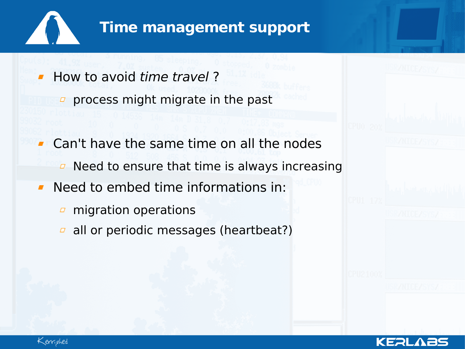

#### **Time management support**

- How to avoid time travel ?
	- process might migrate in the past
- Can't have the same time on all the nodes Need to ensure that time is always increasing  $\Box$
- Need to embed time informations in:  $\blacksquare$ 
	- migration operations  $\varpi$
	- $\sigma$  all or periodic messages (heartbeat?)